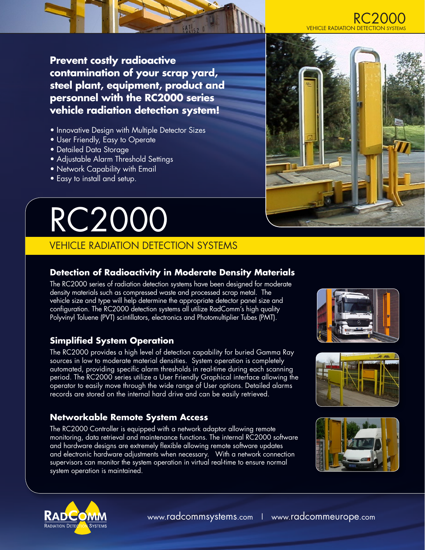

**Prevent costly radioactive contamination of your scrap yard, steel plant, equipment, product and personnel with the RC2000 series vehicle radiation detection system!**

- **Innovative Design with Multiple Detector Sizes**
- User Friendly, Easy to Operate
- Detailed Data Storage
- Adjustable Alarm Threshold Settings
- Network Capability with Email
- Easy to install and setup.

# RC2000

# VEHICLE RADIATION DETECTION SYSTEMS

# **Detection of Radioactivity in Moderate Density Materials**

The RC2000 series of radiation detection systems have been designed for moderate density materials such as compressed waste and processed scrap metal. The vehicle size and type will help determine the appropriate detector panel size and configuration. The RC2000 detection systems all utilize RadComm's high quality Polyvinyl Toluene (PVT) scintillators, electronics and Photomultiplier Tubes (PMT).

# **Simplified System Operation**

The RC2000 provides a high level of detection capability for buried Gamma Ray sources in low to moderate material densities. System operation is completely automated, providing specific alarm thresholds in real-time during each scanning period. The RC2000 series utilize a User Friendly Graphical interface allowing the operator to easily move through the wide range of User options. Detailed alarms records are stored on the internal hard drive and can be easily retrieved.

# **Networkable Remote System Access**

The RC2000 Controller is equipped with a network adaptor allowing remote monitoring, data retrieval and maintenance functions. The internal RC2000 software and hardware designs are extremely flexible allowing remote software updates and electronic hardware adjustments when necessary. With a network connection supervisors can monitor the system operation in virtual real-time to ensure normal system operation is maintained.